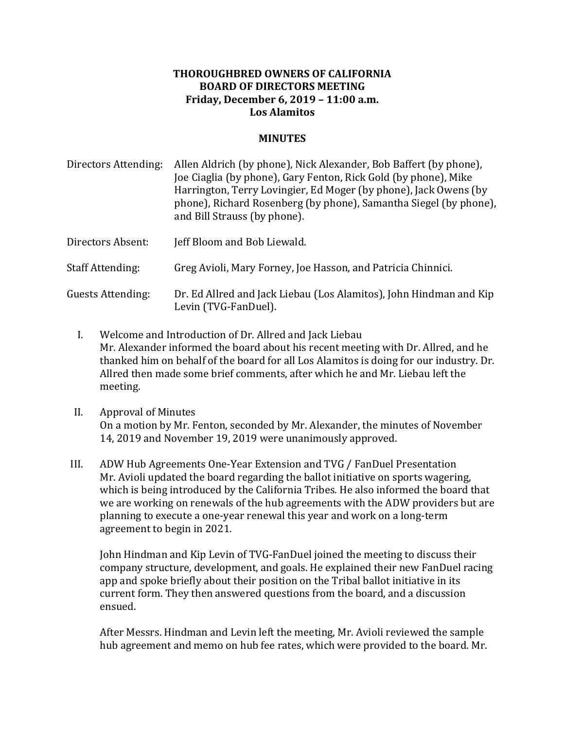## **THOROUGHBRED OWNERS OF CALIFORNIA BOARD OF DIRECTORS MEETING Friday, December 6, 2019 – 11:00 a.m. Los Alamitos**

## **MINUTES**

Directors Attending: Allen Aldrich (by phone), Nick Alexander, Bob Baffert (by phone), Joe Ciaglia (by phone), Gary Fenton, Rick Gold (by phone), Mike Harrington, Terry Lovingier, Ed Moger (by phone), Jack Owens (by phone), Richard Rosenberg (by phone), Samantha Siegel (by phone), and Bill Strauss (by phone). Directors Absent: Jeff Bloom and Bob Liewald. Staff Attending: Greg Avioli, Mary Forney, Joe Hasson, and Patricia Chinnici.

Guests Attending: Dr. Ed Allred and Jack Liebau (Los Alamitos), John Hindman and Kip Levin (TVG-FanDuel).

- I. Welcome and Introduction of Dr. Allred and Jack Liebau Mr. Alexander informed the board about his recent meeting with Dr. Allred, and he thanked him on behalf of the board for all Los Alamitos is doing for our industry. Dr. Allred then made some brief comments, after which he and Mr. Liebau left the meeting.
- II. Approval of Minutes On a motion by Mr. Fenton, seconded by Mr. Alexander, the minutes of November 14, 2019 and November 19, 2019 were unanimously approved.
- III. ADW Hub Agreements One-Year Extension and TVG / FanDuel Presentation Mr. Avioli updated the board regarding the ballot initiative on sports wagering, which is being introduced by the California Tribes. He also informed the board that we are working on renewals of the hub agreements with the ADW providers but are planning to execute a one-year renewal this year and work on a long-term agreement to begin in 2021.

John Hindman and Kip Levin of TVG-FanDuel joined the meeting to discuss their company structure, development, and goals. He explained their new FanDuel racing app and spoke briefly about their position on the Tribal ballot initiative in its current form. They then answered questions from the board, and a discussion ensued.

After Messrs. Hindman and Levin left the meeting, Mr. Avioli reviewed the sample hub agreement and memo on hub fee rates, which were provided to the board. Mr.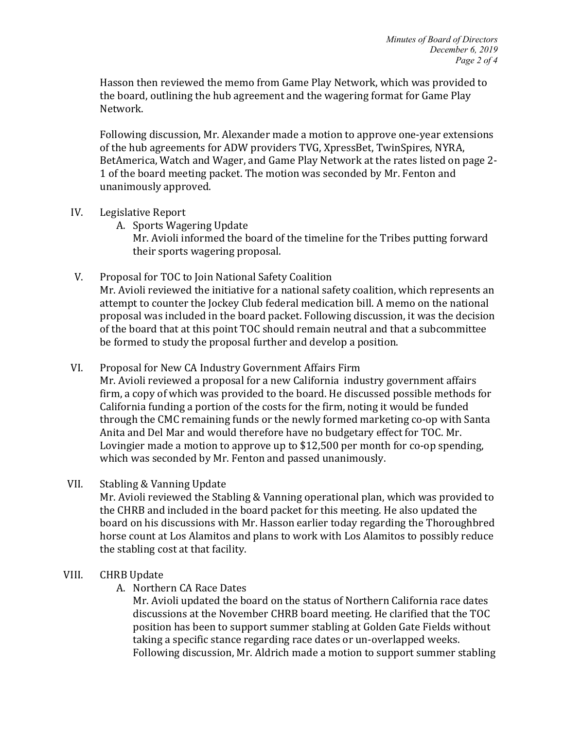Hasson then reviewed the memo from Game Play Network, which was provided to the board, outlining the hub agreement and the wagering format for Game Play Network. 

Following discussion, Mr. Alexander made a motion to approve one-year extensions of the hub agreements for ADW providers TVG, XpressBet, TwinSpires, NYRA, BetAmerica, Watch and Wager, and Game Play Network at the rates listed on page 2-1 of the board meeting packet. The motion was seconded by Mr. Fenton and unanimously approved.

- IV. Legislative Report
	- A. Sports Wagering Update

Mr. Avioli informed the board of the timeline for the Tribes putting forward their sports wagering proposal.

- V. Proposal for TOC to Join National Safety Coalition Mr. Avioli reviewed the initiative for a national safety coalition, which represents an attempt to counter the Jockey Club federal medication bill. A memo on the national proposal was included in the board packet. Following discussion, it was the decision of the board that at this point TOC should remain neutral and that a subcommittee be formed to study the proposal further and develop a position.
- VI. Proposal for New CA Industry Government Affairs Firm Mr. Avioli reviewed a proposal for a new California industry government affairs firm, a copy of which was provided to the board. He discussed possible methods for California funding a portion of the costs for the firm, noting it would be funded through the CMC remaining funds or the newly formed marketing co-op with Santa Anita and Del Mar and would therefore have no budgetary effect for TOC. Mr. Lovingier made a motion to approve up to \$12,500 per month for co-op spending, which was seconded by Mr. Fenton and passed unanimously.
- VII. Stabling & Vanning Update

Mr. Avioli reviewed the Stabling & Vanning operational plan, which was provided to the CHRB and included in the board packet for this meeting. He also updated the board on his discussions with Mr. Hasson earlier today regarding the Thoroughbred horse count at Los Alamitos and plans to work with Los Alamitos to possibly reduce the stabling cost at that facility.

## VIII. CHRB Update

A. Northern CA Race Dates

Mr. Avioli updated the board on the status of Northern California race dates discussions at the November CHRB board meeting. He clarified that the TOC position has been to support summer stabling at Golden Gate Fields without taking a specific stance regarding race dates or un-overlapped weeks. Following discussion, Mr. Aldrich made a motion to support summer stabling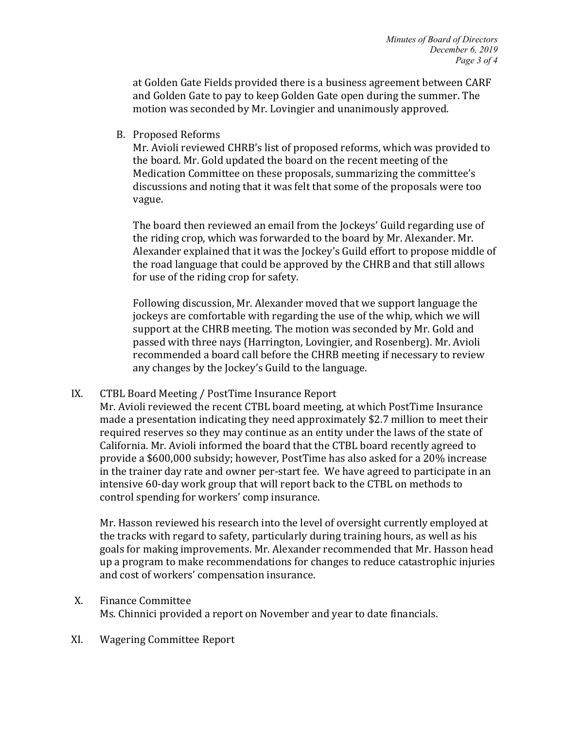at Golden Gate Fields provided there is a business agreement between CARF and Golden Gate to pay to keep Golden Gate open during the summer. The motion was seconded by Mr. Lovingier and unanimously approved.

B. Proposed Reforms

Mr. Avioli reviewed CHRB's list of proposed reforms, which was provided to the board. Mr. Gold updated the board on the recent meeting of the Medication Committee on these proposals, summarizing the committee's discussions and noting that it was felt that some of the proposals were too vague. 

The board then reviewed an email from the Jockeys' Guild regarding use of the riding crop, which was forwarded to the board by Mr. Alexander. Mr. Alexander explained that it was the Jockey's Guild effort to propose middle of the road language that could be approved by the CHRB and that still allows for use of the riding crop for safety.

Following discussion, Mr. Alexander moved that we support language the jockeys are comfortable with regarding the use of the whip, which we will support at the CHRB meeting. The motion was seconded by Mr. Gold and passed with three nays (Harrington, Lovingier, and Rosenberg). Mr. Avioli recommended a board call before the CHRB meeting if necessary to review any changes by the Jockey's Guild to the language.

IX. CTBL Board Meeting / PostTime Insurance Report

Mr. Avioli reviewed the recent CTBL board meeting, at which PostTime Insurance made a presentation indicating they need approximately \$2.7 million to meet their required reserves so they may continue as an entity under the laws of the state of California. Mr. Avioli informed the board that the CTBL board recently agreed to provide a \$600,000 subsidy; however, PostTime has also asked for a 20% increase in the trainer day rate and owner per-start fee. We have agreed to participate in an intensive 60-day work group that will report back to the CTBL on methods to control spending for workers' comp insurance.

Mr. Hasson reviewed his research into the level of oversight currently employed at the tracks with regard to safety, particularly during training hours, as well as his goals for making improvements. Mr. Alexander recommended that Mr. Hasson head up a program to make recommendations for changes to reduce catastrophic injuries and cost of workers' compensation insurance.

- X. Finance Committee Ms. Chinnici provided a report on November and year to date financials.
- XI. Wagering Committee Report